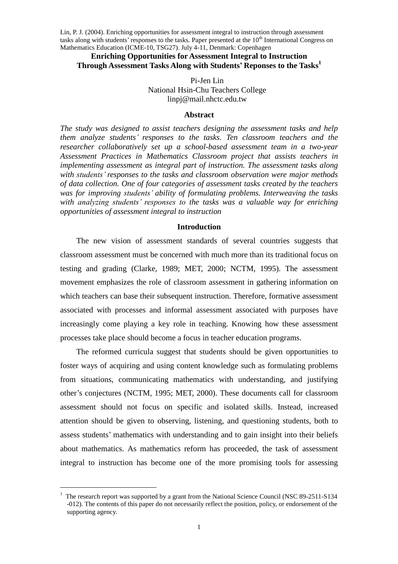Lin, P. J. (2004). Enriching opportunities for assessment integral to instruction through assessment tasks along with students' responses to the tasks. Paper presented at the  $10<sup>th</sup>$  International Congress on Mathematics Education (ICME-10, TSG27). July 4-11, Denmark: Copenhagen

### **Enriching Opportunities for Assessment Integral to Instruction Through Assessment Tasks Along with Students'Reponses to the Tasks<sup>1</sup>**

## Pi-Jen Lin National Hsin-Chu Teachers College linpj@mail.nhctc.edu.tw

#### **Abstract**

*The study was designed to assist teachers designing the assessment tasks and help them analyze students'responses to the tasks. Ten classroom teachers and the researcher collaboratively set up a school-based assessment team in a two-year Assessment Practices in Mathematics Classroom project that assists teachers in implementing assessment as integral part of instruction. The assessment tasks along with students'responses to the tasks and classroom observation were major methods of data collection. One of four categories of assessment tasks created by the teachers was for improving students'ability of formulating problems. Interweaving the tasks with analyzing students' responses to the tasks was a valuable way for enriching opportunities of assessment integral to instruction*

### **Introduction**

The new vision of assessment standards of several countries suggests that classroom assessment must be concerned with much more than its traditional focus on testing and grading (Clarke, 1989; MET, 2000; NCTM, 1995). The assessment movement emphasizes the role of classroom assessment in gathering information on which teachers can base their subsequent instruction. Therefore, formative assessment associated with processes and informal assessment associated with purposes have increasingly come playing a key role in teaching. Knowing how these assessment processes take place should become a focus in teacher education programs.

The reformed curricula suggest that students should be given opportunities to foster ways of acquiring and using content knowledge such as formulating problems from situations, communicating mathematics with understanding, and justifying other's conjectures (NCTM, 1995; MET, 2000). These documents call for classroom assessment should not focus on specific and isolated skills. Instead, increased attention should be given to observing, listening, and questioning students, both to assess students'mathematics with understanding and to gain insight into their beliefs about mathematics. As mathematics reform has proceeded, the task of assessment integral to instruction has become one of the more promising tools for assessing

<sup>1</sup> The research report was supported by a grant from the National Science Council (NSC 89-2511-S134 -012). The contents of this paper do not necessarily reflect the position, policy, or endorsement of the supporting agency.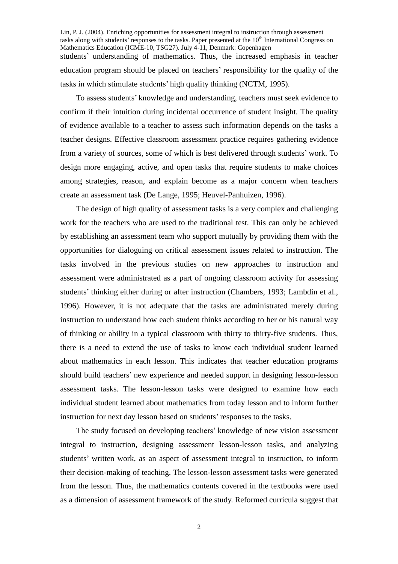Lin, P. J. (2004). Enriching opportunities for assessment integral to instruction through assessment tasks along with students' responses to the tasks. Paper presented at the 10<sup>th</sup> International Congress on Mathematics Education (ICME-10, TSG27). July 4-11, Denmark: Copenhagen students'understanding of mathematics. Thus, the increased emphasis in teacher education program should be placed on teachers'responsibility for the quality of the tasks in which stimulate students'high quality thinking (NCTM, 1995).

To assess students'knowledge and understanding, teachers must seek evidence to confirm if their intuition during incidental occurrence of student insight. The quality of evidence available to a teacher to assess such information depends on the tasks a teacher designs. Effective classroom assessment practice requires gathering evidence from a variety of sources, some of which is best delivered through students'work. To design more engaging, active, and open tasks that require students to make choices among strategies, reason, and explain become as a major concern when teachers create an assessment task (De Lange, 1995; Heuvel-Panhuizen, 1996).

The design of high quality of assessment tasks is a very complex and challenging work for the teachers who are used to the traditional test. This can only be achieved by establishing an assessment team who support mutually by providing them with the opportunities for dialoguing on critical assessment issues related to instruction. The tasks involved in the previous studies on new approaches to instruction and assessment were administrated as a part of ongoing classroom activity for assessing students' thinking either during or after instruction (Chambers, 1993; Lambdin et al., 1996). However, it is not adequate that the tasks are administrated merely during instruction to understand how each student thinks according to her or his natural way of thinking or ability in a typical classroom with thirty to thirty-five students. Thus, there is a need to extend the use of tasks to know each individual student learned about mathematics in each lesson. This indicates that teacher education programs should build teachers'new experience and needed support in designing lesson-lesson assessment tasks. The lesson-lesson tasks were designed to examine how each individual student learned about mathematics from today lesson and to inform further instruction for next day lesson based on students'responses to the tasks.

The study focused on developing teachers'knowledge of new vision assessment integral to instruction, designing assessment lesson-lesson tasks, and analyzing students'written work, as an aspect of assessment integral to instruction, to inform their decision-making of teaching. The lesson-lesson assessment tasks were generated from the lesson. Thus, the mathematics contents covered in the textbooks were used as a dimension of assessment framework of the study. Reformed curricula suggest that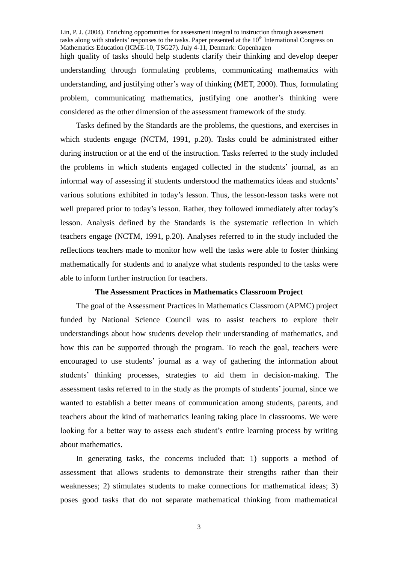Lin, P. J. (2004). Enriching opportunities for assessment integral to instruction through assessment tasks along with students' responses to the tasks. Paper presented at the 10<sup>th</sup> International Congress on Mathematics Education (ICME-10, TSG27). July 4-11, Denmark: Copenhagen high quality of tasks should help students clarify their thinking and develop deeper understanding through formulating problems, communicating mathematics with understanding, and justifying other's way of thinking (MET, 2000). Thus, formulating problem, communicating mathematics, justifying one another's thinking were considered as the other dimension of the assessment framework of the study.

Tasks defined by the Standards are the problems, the questions, and exercises in which students engage (NCTM, 1991, p.20). Tasks could be administrated either during instruction or at the end of the instruction. Tasks referred to the study included the problems in which students engaged collected in the students'journal, as an informal way of assessing if students understood the mathematics ideas and students' various solutions exhibited in today's lesson. Thus, the lesson-lesson tasks were not well prepared prior to today's lesson. Rather, they followed immediately after today's lesson. Analysis defined by the Standards is the systematic reflection in which teachers engage (NCTM, 1991, p.20). Analyses referred to in the study included the reflections teachers made to monitor how well the tasks were able to foster thinking mathematically for students and to analyze what students responded to the tasks were able to inform further instruction for teachers.

# **The Assessment Practices in Mathematics Classroom Project**

The goal of the Assessment Practices in Mathematics Classroom (APMC) project funded by National Science Council was to assist teachers to explore their understandings about how students develop their understanding of mathematics, and how this can be supported through the program. To reach the goal, teachers were encouraged to use students' journal as a way of gathering the information about students' thinking processes, strategies to aid them in decision-making. The assessment tasks referred to in the study as the prompts of students'journal, since we wanted to establish a better means of communication among students, parents, and teachers about the kind of mathematics leaning taking place in classrooms. We were looking for a better way to assess each student's entire learning process by writing about mathematics.

In generating tasks, the concerns included that: 1) supports a method of assessment that allows students to demonstrate their strengths rather than their weaknesses; 2) stimulates students to make connections for mathematical ideas; 3) poses good tasks that do not separate mathematical thinking from mathematical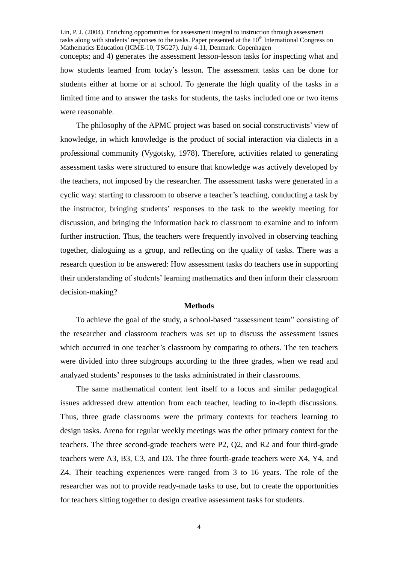Lin, P. J. (2004). Enriching opportunities for assessment integral to instruction through assessment tasks along with students' responses to the tasks. Paper presented at the 10<sup>th</sup> International Congress on Mathematics Education (ICME-10, TSG27). July 4-11, Denmark: Copenhagen concepts; and 4) generates the assessment lesson-lesson tasks for inspecting what and how students learned from today's lesson. The assessment tasks can be done for students either at home or at school. To generate the high quality of the tasks in a limited time and to answer the tasks for students, the tasks included one or two items were reasonable.

The philosophy of the APMC project was based on social constructivists'view of knowledge, in which knowledge is the product of social interaction via dialects in a professional community (Vygotsky, 1978). Therefore, activities related to generating assessment tasks were structured to ensure that knowledge was actively developed by the teachers, not imposed by the researcher. The assessment tasks were generated in a cyclic way: starting to classroom to observe a teacher's teaching, conducting a task by the instructor, bringing students'responses to the task to the weekly meeting for discussion, and bringing the information back to classroom to examine and to inform further instruction. Thus, the teachers were frequently involved in observing teaching together, dialoguing as a group, and reflecting on the quality of tasks. There was a research question to be answered: How assessment tasks do teachers use in supporting their understanding of students' learning mathematics and then inform their classroom decision-making?

#### **Methods**

To achieve the goal of the study, a school-based "assessment team" consisting of the researcher and classroom teachers was set up to discuss the assessment issues which occurred in one teacher's classroom by comparing to others. The ten teachers were divided into three subgroups according to the three grades, when we read and analyzed students'responses to the tasks administrated in their classrooms.

The same mathematical content lent itself to a focus and similar pedagogical issues addressed drew attention from each teacher, leading to in-depth discussions. Thus, three grade classrooms were the primary contexts for teachers learning to design tasks. Arena for regular weekly meetings was the other primary context for the teachers. The three second-grade teachers were P2, Q2, and R2 and four third-grade teachers were A3, B3, C3, and D3. The three fourth-grade teachers were X4, Y4, and Z4. Their teaching experiences were ranged from 3 to 16 years. The role of the researcher was not to provide ready-made tasks to use, but to create the opportunities for teachers sitting together to design creative assessment tasks for students.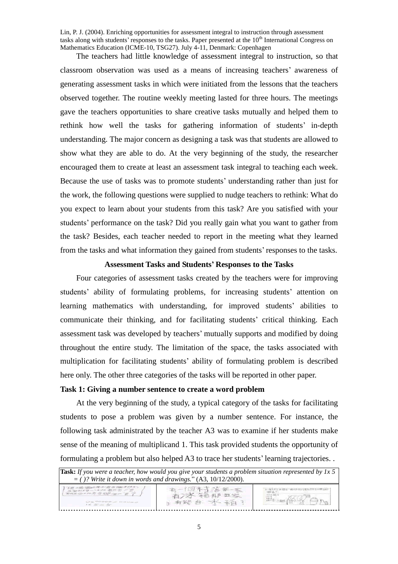Lin, P. J. (2004). Enriching opportunities for assessment integral to instruction through assessment tasks along with students' responses to the tasks. Paper presented at the 10<sup>th</sup> International Congress on Mathematics Education (ICME-10, TSG27). July 4-11, Denmark: Copenhagen

The teachers had little knowledge of assessment integral to instruction, so that classroom observation was used as a means of increasing teachers'awareness of generating assessment tasks in which were initiated from the lessons that the teachers observed together. The routine weekly meeting lasted for three hours. The meetings gave the teachers opportunities to share creative tasks mutually and helped them to rethink how well the tasks for gathering information of students' in-depth understanding. The major concern as designing a task was that students are allowed to show what they are able to do. At the very beginning of the study, the researcher encouraged them to create at least an assessment task integral to teaching each week. Because the use of tasks was to promote students'understanding rather than just for the work, the following questions were supplied to nudge teachers to rethink: What do you expect to learn about your students from this task? Are you satisfied with your students' performance on the task? Did you really gain what you want to gather from the task? Besides, each teacher needed to report in the meeting what they learned from the tasks and what information they gained from students'responses to the tasks.

### **Assessment Tasks and Students'Responses to the Tasks**

Four categories of assessment tasks created by the teachers were for improving students' ability of formulating problems, for increasing students' attention on learning mathematics with understanding, for improved students'abilities to communicate their thinking, and for facilitating students' critical thinking. Each assessment task was developed by teachers'mutually supports and modified by doing throughout the entire study. The limitation of the space, the tasks associated with multiplication for facilitating students'ability of formulating problem is described here only. The other three categories of the tasks will be reported in other paper.

### **Task 1: Giving a number sentence to create a word problem**

At the very beginning of the study, a typical category of the tasks for facilitating students to pose a problem was given by a number sentence. For instance, the following task administrated by the teacher A3 was to examine if her students make sense of the meaning of multiplicand 1. This task provided students the opportunity of formulating a problem but also helped A3 to trace her students'learning trajectories. .

| <b>Task:</b> If you were a teacher, how would you give your students a problem situation represented by 1x 5<br>$=$ ( )? Write it down in words and drawings." (A3, 10/12/2000). |           |                           |  |  |  |
|----------------------------------------------------------------------------------------------------------------------------------------------------------------------------------|-----------|---------------------------|--|--|--|
| 丁戶土地 國經年半有五個子學生,<br>五個型は毎一、ヨリエ者反右、デ書、<br>第8五位文件考查提"面严置了 )<br>$0 \times 00000 = 000000$<br>$185 = 4$                                                                              | 前有线 台 水 新 | 「にすべ」には、一時以外ないときもしてみない時ので |  |  |  |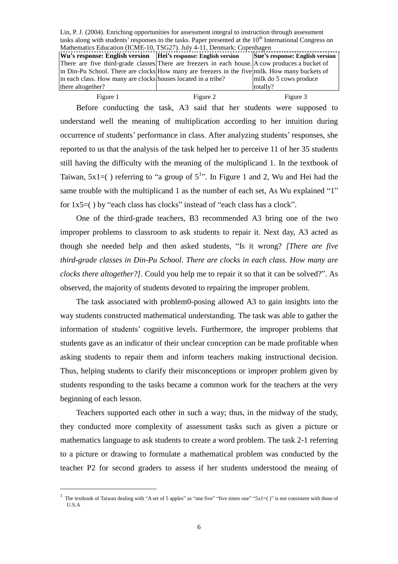Lin, P. J. (2004). Enriching opportunities for assessment integral to instruction through assessment tasks along with students' responses to the tasks. Paper presented at the  $10<sup>th</sup>$  International Congress on Mathematics Education (ICME-10, TSG27). July 4-11, Denmark: Copenhagen **Wu's response: English version Hei's response: English version** There are five third-grade classes There are freezers in each house. A cow produces a bucket of in Din-Pu School. There are clocks How many are freezers in the five milk. How many buckets of in each class. How many are clocks houses located in a tribe? there altogether? **Sue's response: English version** milk do 5 cows produce totally?

| Figure 1                                                                                    | Figure 2 | Figure 3                                                                        |  |  |  |
|---------------------------------------------------------------------------------------------|----------|---------------------------------------------------------------------------------|--|--|--|
|                                                                                             |          | Before conducting the task, A3 said that her students were supposed to          |  |  |  |
|                                                                                             |          | understand well the meaning of multiplication according to her intuition during |  |  |  |
| occurrence of students' performance in class. After analyzing students' responses, she      |          |                                                                                 |  |  |  |
| reported to us that the analysis of the task helped her to perceive 11 of her 35 students   |          |                                                                                 |  |  |  |
| still having the difficulty with the meaning of the multiplicand 1. In the textbook of      |          |                                                                                 |  |  |  |
| Taiwan, $5x1=($ ) referring to "a group of $5^{1}$ ". In Figure 1 and 2, Wu and Hei had the |          |                                                                                 |  |  |  |
| same trouble with the multiplicand 1 as the number of each set, As Wu explained "1"         |          |                                                                                 |  |  |  |
| for $1x5=()$ by "each class has clocks" instead of "each class has a clock".                |          |                                                                                 |  |  |  |

One of the third-grade teachers, B3 recommended A3 bring one of the two improper problems to classroom to ask students to repair it. Next day, A3 acted as though she needed help and then asked students, "Is it wrong? *[There are five third-grade classes in Din-Pu School. There are clocks in each class. How many are clocks there altogether?]*. Could you help me to repair it so that it can be solved?". As observed, the majority of students devoted to repairing the improper problem.

The task associated with problem0-posing allowed A3 to gain insights into the way students constructed mathematical understanding. The task was able to gather the information of students'cognitive levels. Furthermore, the improper problems that students gave as an indicator of their unclear conception can be made profitable when asking students to repair them and inform teachers making instructional decision. Thus, helping students to clarify their misconceptions or improper problem given by students responding to the tasks became a common work for the teachers at the very beginning of each lesson.

Teachers supported each other in such a way; thus, in the midway of the study, they conducted more complexity of assessment tasks such as given a picture or mathematics language to ask students to create a word problem. The task 2-1 referring to a picture or drawing to formulate a mathematical problem was conducted by the teacher P2 for second graders to assess if her students understood the meaing of

<sup>1</sup> The textbook of Taiwan dealing with "A set of 5 apples" as "one five" "five times one" " $5x1=($ " is not consistent with those of U.S.A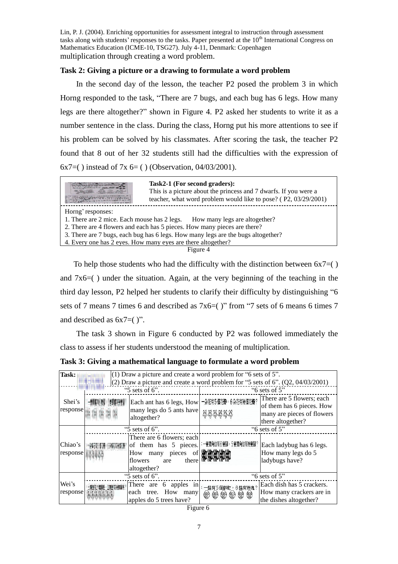Lin, P. J. (2004). Enriching opportunities for assessment integral to instruction through assessment tasks along with students' responses to the tasks. Paper presented at the 10<sup>th</sup> International Congress on Mathematics Education (ICME-10, TSG27). July 4-11, Denmark: Copenhagen multiplication through creating a word problem.

### **Task 2: Giving a picture or a drawing to formulate a word problem**

In the second day of the lesson, the teacher P2 posed the problem 3 in which Horng responded to the task, "There are 7 bugs, and each bug has 6 legs. How many legs are there altogether?" shown in Figure 4. P2 asked her students to write it as a number sentence in the class. During the class, Horng put his more attentions to see if his problem can be solved by his classmates. After scoring the task, the teacher P2 found that 8 out of her 32 students still had the difficulties with the expression of 6x7=() instead of 7x 6= () (Observation,  $04/03/2001$ ).

**Task2-1 (For second graders):** This is a picture about the princess and 7 dwarfs. If you were a The Passage of the American teacher, what word problem would like to pose? ( P2, 03/29/2001) Horng'responses: 1. There are 2 mice. Each mouse has 2 legs. How many legs are altogether? 2. There are 4 flowers and each has 5 pieces. How many pieces are there? 3. There are 7 bugs, each bug has 6 legs. How many legs are the bugs altogether? 4. Every one has 2 eyes. How many eyes are there altogether?Figure 4

To help those students who had the difficulty with the distinction between  $6x7=($ ) and 7x6=( ) under the situation. Again, at the very beginning of the teaching in the third day lesson, P2 helped her students to clarify their difficulty by distinguishing "6 sets of 7 means 7 times 6 and described as  $7x6=($  "from "7 sets of 6 means 6 times 7 and described as  $6x7=($  )".

The task 3 shown in Figure 6 conducted by P2 was followed immediately the class to assess if her students understood the meaning of multiplication.

**Task 3: Giving a mathematical language to formulate a word problem**

| Task:<br>(1) Draw a picture and create a word problem for " $6$ sets of $5$ ". |                                                                                      |                                                                                                                   |                                     |                                                                                                           |  |  |  |
|--------------------------------------------------------------------------------|--------------------------------------------------------------------------------------|-------------------------------------------------------------------------------------------------------------------|-------------------------------------|-----------------------------------------------------------------------------------------------------------|--|--|--|
|                                                                                | $(2)$ Draw a picture and create a word problem for "5 sets of 6". $(Q2, 04/03/2001)$ |                                                                                                                   |                                     |                                                                                                           |  |  |  |
|                                                                                | " $5$ sets of 6".                                                                    |                                                                                                                   | " $6$ sets of $5$ "                 |                                                                                                           |  |  |  |
| Shei's<br>response                                                             |                                                                                      | Each ant has 6 legs, How 一朵花有5個花瓣, 6朵花有幾個花瓣?<br>many legs do 5 ants have<br>altogether?                           |                                     | There are 5 flowers; each<br>of them has 6 pieces. How<br>many are pieces of flowers<br>there altogether? |  |  |  |
|                                                                                | " $5$ sets of 6".                                                                    |                                                                                                                   | " $6$ sets of $5$ "                 |                                                                                                           |  |  |  |
| Chiao's<br>response                                                            |                                                                                      | There are 6 flowers; each<br>of them has 5 pieces.<br>How many pieces of William<br>flowers<br>are<br>altogether? | :一隻獨角仙有6隻腳,5隻獨角仙有幾隻腳?<br>there   MM | Each ladybug has 6 legs.<br>How many legs do 5<br>ladybugs have?                                          |  |  |  |
|                                                                                | " $5$ sets of 6".                                                                    |                                                                                                                   | " $6$ sets of $5$ "                 |                                                                                                           |  |  |  |
| Wei's<br>response                                                              |                                                                                      | There are 6 apples in : — 盤有5個鮮乾, 6盤有幾塊?<br>each tree. How many<br>apples do 5 trees have?                        | 非常非常的                               | Each dish has 5 crackers.<br>How many crackers are in<br>the dishes altogether?                           |  |  |  |

| <b>Heure</b> 6 |  |
|----------------|--|
|----------------|--|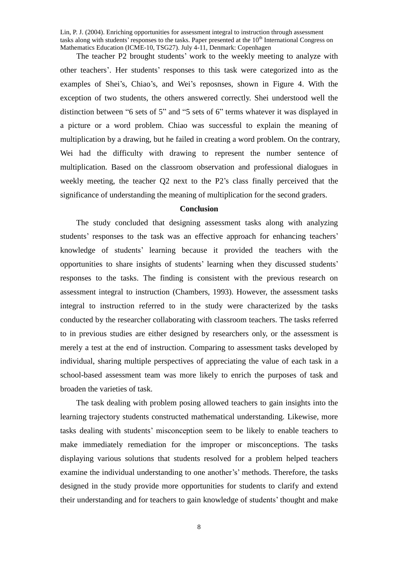Lin, P. J. (2004). Enriching opportunities for assessment integral to instruction through assessment tasks along with students' responses to the tasks. Paper presented at the 10<sup>th</sup> International Congress on Mathematics Education (ICME-10, TSG27). July 4-11, Denmark: Copenhagen

The teacher P2 brought students'work to the weekly meeting to analyze with other teachers'. Her students'responses to this task were categorized into as the examples of Shei's, Chiao's, and Wei's reposnses, shown in Figure 4. With the exception of two students, the others answered correctly. Shei understood well the distinction between "6 sets of 5" and "5 sets of 6" terms whatever it was displayed in a picture or a word problem. Chiao was successful to explain the meaning of multiplication by a drawing, but he failed in creating a word problem. On the contrary, Wei had the difficulty with drawing to represent the number sentence of multiplication. Based on the classroom observation and professional dialogues in weekly meeting, the teacher Q2 next to the P2's class finally perceived that the significance of understanding the meaning of multiplication for the second graders.

#### **Conclusion**

The study concluded that designing assessment tasks along with analyzing students' responses to the task was an effective approach for enhancing teachers' knowledge of students'learning because it provided the teachers with the opportunities to share insights of students'learning when they discussed students' responses to the tasks. The finding is consistent with the previous research on assessment integral to instruction (Chambers, 1993). However, the assessment tasks integral to instruction referred to in the study were characterized by the tasks conducted by the researcher collaborating with classroom teachers. The tasks referred to in previous studies are either designed by researchers only, or the assessment is merely a test at the end of instruction. Comparing to assessment tasks developed by individual, sharing multiple perspectives of appreciating the value of each task in a school-based assessment team was more likely to enrich the purposes of task and broaden the varieties of task.

The task dealing with problem posing allowed teachers to gain insights into the learning trajectory students constructed mathematical understanding. Likewise, more tasks dealing with students'misconceptionseem to be likely to enable teachers to make immediately remediation for the improper or misconceptions. The tasks displaying various solutions that students resolved for a problem helped teachers examine the individual understanding to one another's' methods. Therefore, the tasks designed in the study provide more opportunities for students to clarify and extend their understanding and for teachers to gain knowledge of students'thought and make